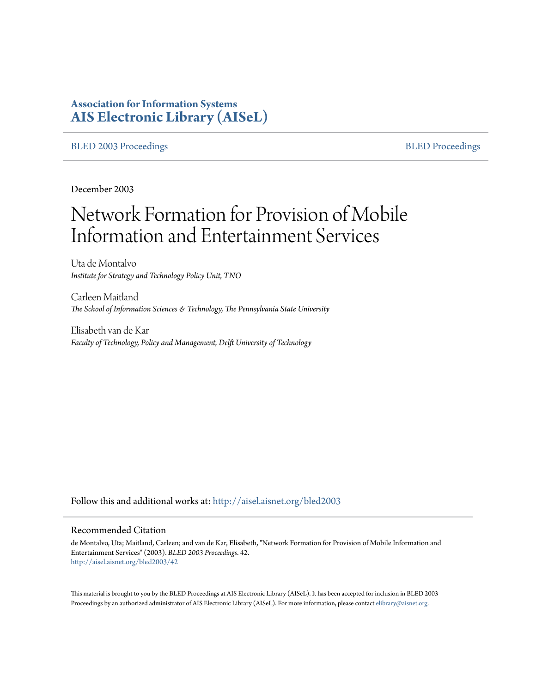# **Association for Information Systems [AIS Electronic Library \(AISeL\)](http://aisel.aisnet.org?utm_source=aisel.aisnet.org%2Fbled2003%2F42&utm_medium=PDF&utm_campaign=PDFCoverPages)**

[BLED 2003 Proceedings](http://aisel.aisnet.org/bled2003?utm_source=aisel.aisnet.org%2Fbled2003%2F42&utm_medium=PDF&utm_campaign=PDFCoverPages) and the state of the state of the [BLED Proceedings](http://aisel.aisnet.org/bled?utm_source=aisel.aisnet.org%2Fbled2003%2F42&utm_medium=PDF&utm_campaign=PDFCoverPages) and the BLED Proceedings and the BLED Proceedings and the BLED Proceedings and the BLED Proceedings and the BLED Proceedings and the BLED Proceedings

December 2003

# Network Formation for Provision of Mobile Information and Entertainment Services

Uta de Montalvo *Institute for Strategy and Technology Policy Unit, TNO*

Carleen Maitland *The School of Information Sciences & Technology, The Pennsylvania State University*

Elisabeth van de Kar *Faculty of Technology, Policy and Management, Delft University of Technology*

Follow this and additional works at: [http://aisel.aisnet.org/bled2003](http://aisel.aisnet.org/bled2003?utm_source=aisel.aisnet.org%2Fbled2003%2F42&utm_medium=PDF&utm_campaign=PDFCoverPages)

#### Recommended Citation

de Montalvo, Uta; Maitland, Carleen; and van de Kar, Elisabeth, "Network Formation for Provision of Mobile Information and Entertainment Services" (2003). *BLED 2003 Proceedings*. 42. [http://aisel.aisnet.org/bled2003/42](http://aisel.aisnet.org/bled2003/42?utm_source=aisel.aisnet.org%2Fbled2003%2F42&utm_medium=PDF&utm_campaign=PDFCoverPages)

This material is brought to you by the BLED Proceedings at AIS Electronic Library (AISeL). It has been accepted for inclusion in BLED 2003 Proceedings by an authorized administrator of AIS Electronic Library (AISeL). For more information, please contact [elibrary@aisnet.org](mailto:elibrary@aisnet.org%3E).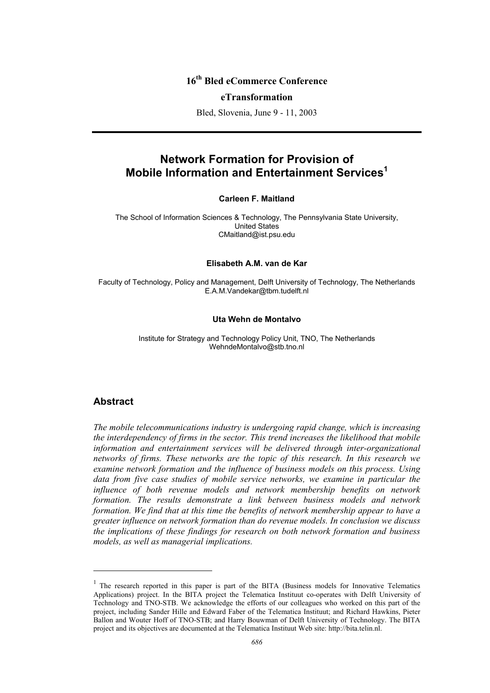# **16th Bled eCommerce Conference**

#### **eTransformation**

Bled, Slovenia, June 9 - 11, 2003

# **Network Formation for Provision of Mobile Information and Entertainment Services<sup>1</sup>**

#### **Carleen F. Maitland**

The School of Information Sciences & Technology, The Pennsylvania State University, United States CMaitland@ist.psu.edu

#### **Elisabeth A.M. van de Kar**

Faculty of Technology, Policy and Management, Delft University of Technology, The Netherlands E.A.M.Vandekar@tbm.tudelft.nl

#### **Uta Wehn de Montalvo**

Institute for Strategy and Technology Policy Unit, TNO, The Netherlands WehndeMontalvo@stb.tno.nl

#### **Abstract**

l

*The mobile telecommunications industry is undergoing rapid change, which is increasing the interdependency of firms in the sector. This trend increases the likelihood that mobile information and entertainment services will be delivered through inter-organizational networks of firms. These networks are the topic of this research. In this research we examine network formation and the influence of business models on this process. Using*  data from five case studies of mobile service networks, we examine in particular the *influence of both revenue models and network membership benefits on network formation. The results demonstrate a link between business models and network formation. We find that at this time the benefits of network membership appear to have a greater influence on network formation than do revenue models. In conclusion we discuss the implications of these findings for research on both network formation and business models, as well as managerial implications.* 

 $<sup>1</sup>$  The research reported in this paper is part of the BITA (Business models for Innovative Telematics</sup> Applications) project. In the BITA project the Telematica Instituut co-operates with Delft University of Technology and TNO-STB. We acknowledge the efforts of our colleagues who worked on this part of the project, including Sander Hille and Edward Faber of the Telematica Instituut; and Richard Hawkins, Pieter Ballon and Wouter Hoff of TNO-STB; and Harry Bouwman of Delft University of Technology. The BITA project and its objectives are documented at the Telematica Instituut Web site: http://bita.telin.nl.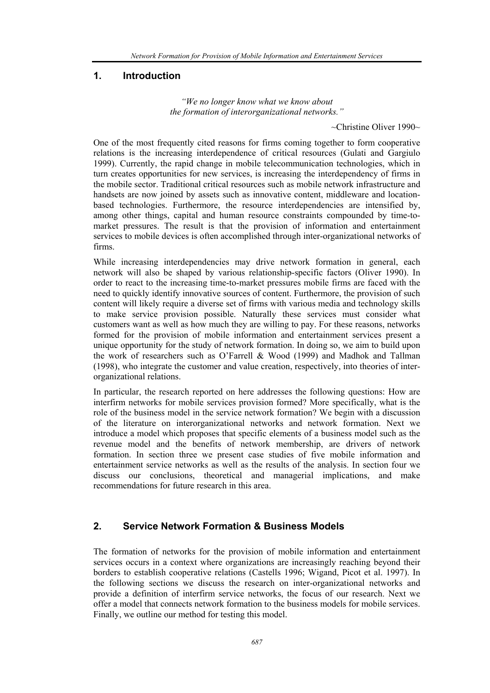## **1. Introduction**

*"We no longer know what we know about the formation of interorganizational networks."* 

 $\sim$ Christine Oliver 1990 $\sim$ 

One of the most frequently cited reasons for firms coming together to form cooperative relations is the increasing interdependence of critical resources (Gulati and Gargiulo 1999). Currently, the rapid change in mobile telecommunication technologies, which in turn creates opportunities for new services, is increasing the interdependency of firms in the mobile sector. Traditional critical resources such as mobile network infrastructure and handsets are now joined by assets such as innovative content, middleware and locationbased technologies. Furthermore, the resource interdependencies are intensified by, among other things, capital and human resource constraints compounded by time-tomarket pressures. The result is that the provision of information and entertainment services to mobile devices is often accomplished through inter-organizational networks of firms.

While increasing interdependencies may drive network formation in general, each network will also be shaped by various relationship-specific factors (Oliver 1990). In order to react to the increasing time-to-market pressures mobile firms are faced with the need to quickly identify innovative sources of content. Furthermore, the provision of such content will likely require a diverse set of firms with various media and technology skills to make service provision possible. Naturally these services must consider what customers want as well as how much they are willing to pay. For these reasons, networks formed for the provision of mobile information and entertainment services present a unique opportunity for the study of network formation. In doing so, we aim to build upon the work of researchers such as O'Farrell & Wood (1999) and Madhok and Tallman (1998), who integrate the customer and value creation, respectively, into theories of interorganizational relations.

In particular, the research reported on here addresses the following questions: How are interfirm networks for mobile services provision formed? More specifically, what is the role of the business model in the service network formation? We begin with a discussion of the literature on interorganizational networks and network formation. Next we introduce a model which proposes that specific elements of a business model such as the revenue model and the benefits of network membership, are drivers of network formation. In section three we present case studies of five mobile information and entertainment service networks as well as the results of the analysis. In section four we discuss our conclusions, theoretical and managerial implications, and make recommendations for future research in this area.

# **2. Service Network Formation & Business Models**

The formation of networks for the provision of mobile information and entertainment services occurs in a context where organizations are increasingly reaching beyond their borders to establish cooperative relations (Castells 1996; Wigand, Picot et al. 1997). In the following sections we discuss the research on inter-organizational networks and provide a definition of interfirm service networks, the focus of our research. Next we offer a model that connects network formation to the business models for mobile services. Finally, we outline our method for testing this model.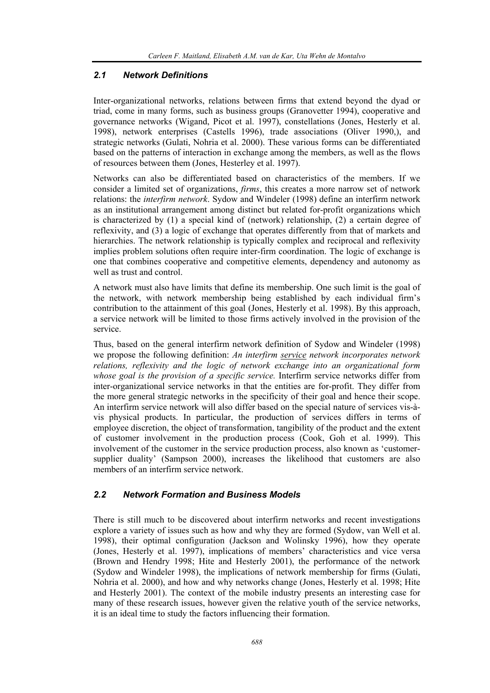#### *2.1 Network Definitions*

Inter-organizational networks, relations between firms that extend beyond the dyad or triad, come in many forms, such as business groups (Granovetter 1994), cooperative and governance networks (Wigand, Picot et al. 1997), constellations (Jones, Hesterly et al. 1998), network enterprises (Castells 1996), trade associations (Oliver 1990,), and strategic networks (Gulati, Nohria et al. 2000). These various forms can be differentiated based on the patterns of interaction in exchange among the members, as well as the flows of resources between them (Jones, Hesterley et al. 1997).

Networks can also be differentiated based on characteristics of the members. If we consider a limited set of organizations, *firms*, this creates a more narrow set of network relations: the *interfirm network*. Sydow and Windeler (1998) define an interfirm network as an institutional arrangement among distinct but related for-profit organizations which is characterized by (1) a special kind of (network) relationship, (2) a certain degree of reflexivity, and (3) a logic of exchange that operates differently from that of markets and hierarchies. The network relationship is typically complex and reciprocal and reflexivity implies problem solutions often require inter-firm coordination. The logic of exchange is one that combines cooperative and competitive elements, dependency and autonomy as well as trust and control.

A network must also have limits that define its membership. One such limit is the goal of the network, with network membership being established by each individual firm's contribution to the attainment of this goal (Jones, Hesterly et al. 1998). By this approach, a service network will be limited to those firms actively involved in the provision of the service.

Thus, based on the general interfirm network definition of Sydow and Windeler (1998) we propose the following definition: *An interfirm service network incorporates network relations, reflexivity and the logic of network exchange into an organizational form whose goal is the provision of a specific service.* Interfirm service networks differ from inter-organizational service networks in that the entities are for-profit. They differ from the more general strategic networks in the specificity of their goal and hence their scope. An interfirm service network will also differ based on the special nature of services vis-àvis physical products. In particular, the production of services differs in terms of employee discretion, the object of transformation, tangibility of the product and the extent of customer involvement in the production process (Cook, Goh et al. 1999). This involvement of the customer in the service production process, also known as 'customersupplier duality' (Sampson 2000), increases the likelihood that customers are also members of an interfirm service network.

#### *2.2 Network Formation and Business Models*

There is still much to be discovered about interfirm networks and recent investigations explore a variety of issues such as how and why they are formed (Sydow, van Well et al. 1998), their optimal configuration (Jackson and Wolinsky 1996), how they operate (Jones, Hesterly et al. 1997), implications of members' characteristics and vice versa (Brown and Hendry 1998; Hite and Hesterly 2001), the performance of the network (Sydow and Windeler 1998), the implications of network membership for firms (Gulati, Nohria et al. 2000), and how and why networks change (Jones, Hesterly et al. 1998; Hite and Hesterly 2001). The context of the mobile industry presents an interesting case for many of these research issues, however given the relative youth of the service networks, it is an ideal time to study the factors influencing their formation.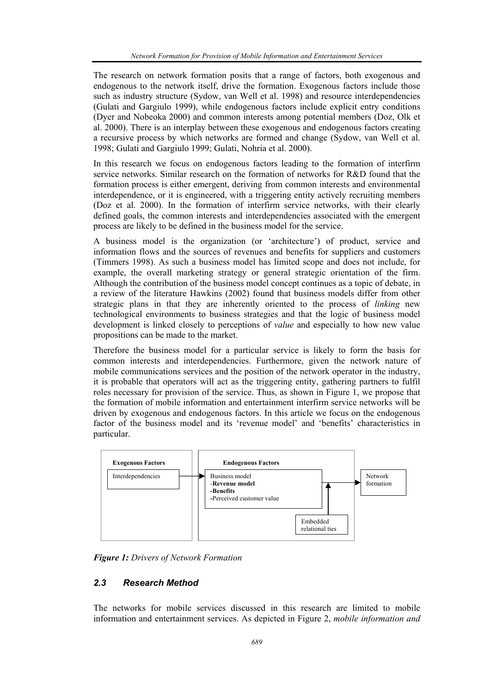The research on network formation posits that a range of factors, both exogenous and endogenous to the network itself, drive the formation. Exogenous factors include those such as industry structure (Sydow, van Well et al. 1998) and resource interdependencies (Gulati and Gargiulo 1999), while endogenous factors include explicit entry conditions (Dyer and Nobeoka 2000) and common interests among potential members (Doz, Olk et al. 2000). There is an interplay between these exogenous and endogenous factors creating a recursive process by which networks are formed and change (Sydow, van Well et al. 1998; Gulati and Gargiulo 1999; Gulati, Nohria et al. 2000).

In this research we focus on endogenous factors leading to the formation of interfirm service networks. Similar research on the formation of networks for R&D found that the formation process is either emergent, deriving from common interests and environmental interdependence, or it is engineered, with a triggering entity actively recruiting members (Doz et al. 2000). In the formation of interfirm service networks, with their clearly defined goals, the common interests and interdependencies associated with the emergent process are likely to be defined in the business model for the service.

A business model is the organization (or 'architecture') of product, service and information flows and the sources of revenues and benefits for suppliers and customers (Timmers 1998). As such a business model has limited scope and does not include, for example, the overall marketing strategy or general strategic orientation of the firm. Although the contribution of the business model concept continues as a topic of debate, in a review of the literature Hawkins (2002) found that business models differ from other strategic plans in that they are inherently oriented to the process of *linking* new technological environments to business strategies and that the logic of business model development is linked closely to perceptions of *value* and especially to how new value propositions can be made to the market.

Therefore the business model for a particular service is likely to form the basis for common interests and interdependencies. Furthermore, given the network nature of mobile communications services and the position of the network operator in the industry, it is probable that operators will act as the triggering entity, gathering partners to fulfil roles necessary for provision of the service. Thus, as shown in Figure 1, we propose that the formation of mobile information and entertainment interfirm service networks will be driven by exogenous and endogenous factors. In this article we focus on the endogenous factor of the business model and its 'revenue model' and 'benefits' characteristics in particular.



*Figure 1: Drivers of Network Formation* 

#### *2.3 Research Method*

The networks for mobile services discussed in this research are limited to mobile information and entertainment services. As depicted in Figure 2, *mobile information and*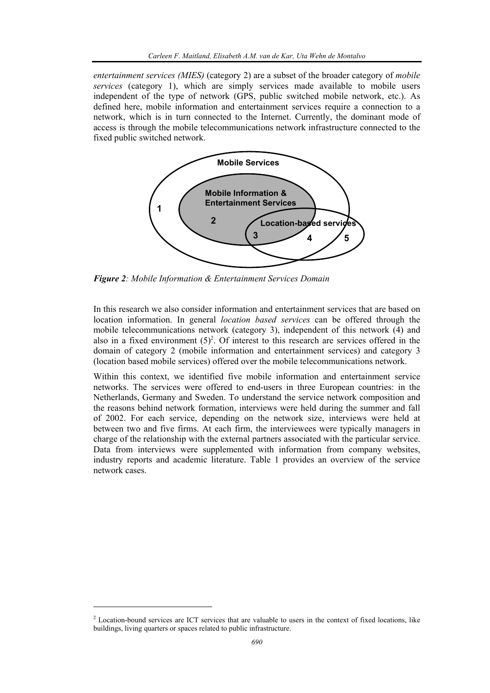*entertainment services (MIES)* (category 2) are a subset of the broader category of *mobile services* (category 1), which are simply services made available to mobile users independent of the type of network (GPS, public switched mobile network, etc.). As defined here, mobile information and entertainment services require a connection to a network, which is in turn connected to the Internet. Currently, the dominant mode of access is through the mobile telecommunications network infrastructure connected to the fixed public switched network.



*Figure 2: Mobile Information & Entertainment Services Domain* 

In this research we also consider information and entertainment services that are based on location information. In general *location based services* can be offered through the mobile telecommunications network (category 3), independent of this network (4) and also in a fixed environment  $(5)^2$ . Of interest to this research are services offered in the domain of category 2 (mobile information and entertainment services) and category 3 (location based mobile services) offered over the mobile telecommunications network.

Within this context, we identified five mobile information and entertainment service networks. The services were offered to end-users in three European countries: in the Netherlands, Germany and Sweden. To understand the service network composition and the reasons behind network formation, interviews were held during the summer and fall of 2002. For each service, depending on the network size, interviews were held at between two and five firms. At each firm, the interviewees were typically managers in charge of the relationship with the external partners associated with the particular service. Data from interviews were supplemented with information from company websites, industry reports and academic literature. Table 1 provides an overview of the service network cases.

l

<sup>&</sup>lt;sup>2</sup> Location-bound services are ICT services that are valuable to users in the context of fixed locations, like buildings, living quarters or spaces related to public infrastructure.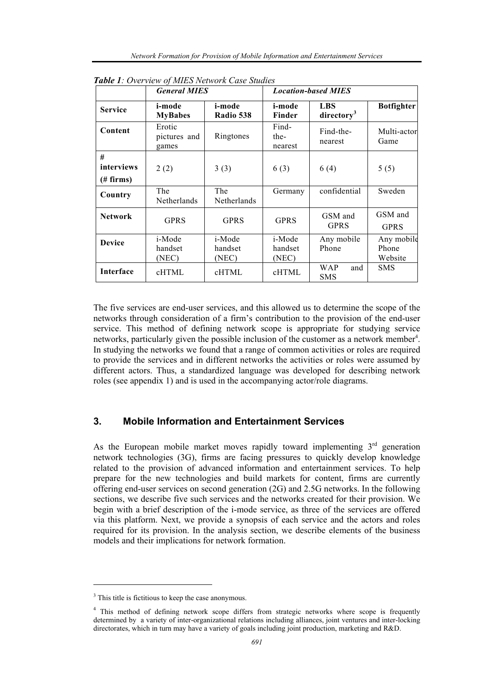|                              | <b>General MIES</b>             |                            | <b>Location-based MIES</b> |                                      |                                |  |
|------------------------------|---------------------------------|----------------------------|----------------------------|--------------------------------------|--------------------------------|--|
| <b>Service</b>               | i-mode<br><b>MyBabes</b>        | i-mode<br>Radio 538        | i-mode<br>Finder           | <b>LBS</b><br>directory <sup>3</sup> | <b>Botfighter</b>              |  |
| Content                      | Erotic<br>pictures and<br>games | Ringtones                  | Find-<br>the-<br>nearest   | Find-the-<br>nearest                 | Multi-actor<br>Game            |  |
| #<br>interviews<br>(# firms) | 2(2)                            | 3(3)                       | 6(3)                       | 6(4)                                 | 5(5)                           |  |
| Country                      | The<br>Netherlands              | The<br>Netherlands         | Germany                    | confidential                         | Sweden                         |  |
| <b>Network</b>               | <b>GPRS</b>                     | <b>GPRS</b>                | <b>GPRS</b>                | GSM and<br><b>GPRS</b>               | GSM and<br><b>GPRS</b>         |  |
| <b>Device</b>                | i-Mode<br>handset<br>(NEC)      | i-Mode<br>handset<br>(NEC) | i-Mode<br>handset<br>(NEC) | Any mobile<br>Phone                  | Any mobile<br>Phone<br>Website |  |
| Interface                    | cHTML                           | cHTML                      | cHTML                      | <b>WAP</b><br>and<br><b>SMS</b>      | <b>SMS</b>                     |  |

*Table 1: Overview of MIES Network Case Studies* 

The five services are end-user services, and this allowed us to determine the scope of the networks through consideration of a firm's contribution to the provision of the end-user service. This method of defining network scope is appropriate for studying service networks, particularly given the possible inclusion of the customer as a network member<sup>4</sup>. In studying the networks we found that a range of common activities or roles are required to provide the services and in different networks the activities or roles were assumed by different actors. Thus, a standardized language was developed for describing network roles (see appendix 1) and is used in the accompanying actor/role diagrams.

# **3. Mobile Information and Entertainment Services**

As the European mobile market moves rapidly toward implementing  $3<sup>rd</sup>$  generation network technologies (3G), firms are facing pressures to quickly develop knowledge related to the provision of advanced information and entertainment services. To help prepare for the new technologies and build markets for content, firms are currently offering end-user services on second generation (2G) and 2.5G networks. In the following sections, we describe five such services and the networks created for their provision. We begin with a brief description of the i-mode service, as three of the services are offered via this platform. Next, we provide a synopsis of each service and the actors and roles required for its provision. In the analysis section, we describe elements of the business models and their implications for network formation.

l

<sup>&</sup>lt;sup>3</sup> This title is fictitious to keep the case anonymous.

<sup>&</sup>lt;sup>4</sup> This method of defining network scope differs from strategic networks where scope is frequently determined by a variety of inter-organizational relations including alliances, joint ventures and inter-locking directorates, which in turn may have a variety of goals including joint production, marketing and R&D.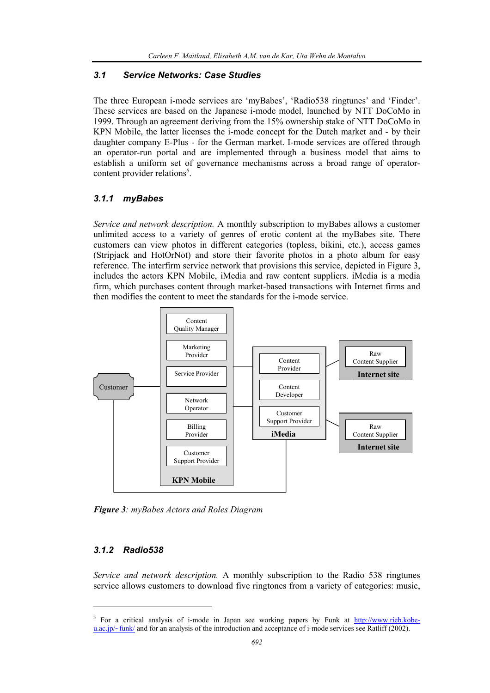#### *3.1 Service Networks: Case Studies*

The three European i-mode services are 'myBabes', 'Radio538 ringtunes' and 'Finder'. These services are based on the Japanese i-mode model, launched by NTT DoCoMo in 1999. Through an agreement deriving from the 15% ownership stake of NTT DoCoMo in KPN Mobile, the latter licenses the i-mode concept for the Dutch market and - by their daughter company E-Plus - for the German market. I-mode services are offered through an operator-run portal and are implemented through a business model that aims to establish a uniform set of governance mechanisms across a broad range of operatorcontent provider relations<sup>5</sup>.

#### *3.1.1 myBabes*

*Service and network description.* A monthly subscription to myBabes allows a customer unlimited access to a variety of genres of erotic content at the myBabes site. There customers can view photos in different categories (topless, bikini, etc.), access games (Stripjack and HotOrNot) and store their favorite photos in a photo album for easy reference. The interfirm service network that provisions this service, depicted in Figure 3, includes the actors KPN Mobile, iMedia and raw content suppliers. iMedia is a media firm, which purchases content through market-based transactions with Internet firms and then modifies the content to meet the standards for the i-mode service.



*Figure 3: myBabes Actors and Roles Diagram* 

#### *3.1.2 Radio538*

l

*Service and network description.* A monthly subscription to the Radio 538 ringtunes service allows customers to download five ringtones from a variety of categories: music,

<sup>&</sup>lt;sup>5</sup> For a critical analysis of i-mode in Japan see working papers by Funk at  $\frac{http://www.rieb.kobe-1}{http://www.rieb.kobe-1}$  $u.ac.jp/~funk/$  and for an analysis of the introduction and acceptance of i-mode services see Ratliff (2002).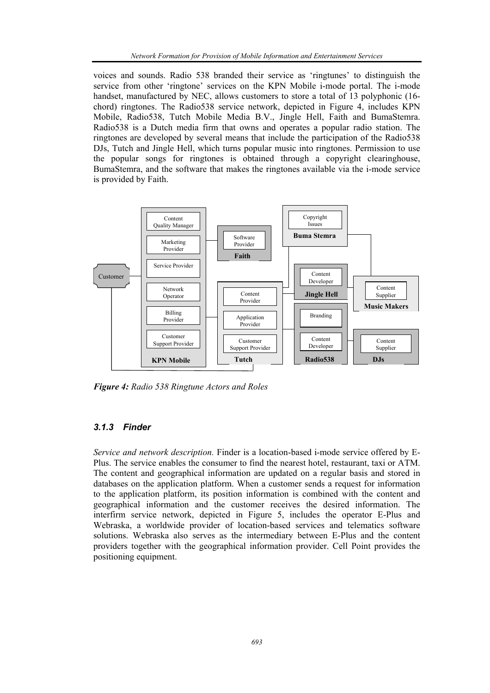voices and sounds. Radio 538 branded their service as 'ringtunes' to distinguish the service from other 'ringtone' services on the KPN Mobile i-mode portal. The i-mode handset, manufactured by NEC, allows customers to store a total of 13 polyphonic (16 chord) ringtones. The Radio538 service network, depicted in Figure 4, includes KPN Mobile, Radio538, Tutch Mobile Media B.V., Jingle Hell, Faith and BumaStemra. Radio538 is a Dutch media firm that owns and operates a popular radio station. The ringtones are developed by several means that include the participation of the Radio538 DJs, Tutch and Jingle Hell, which turns popular music into ringtones. Permission to use the popular songs for ringtones is obtained through a copyright clearinghouse, BumaStemra, and the software that makes the ringtones available via the i-mode service is provided by Faith.



*Figure 4: Radio 538 Ringtune Actors and Roles* 

#### *3.1.3 Finder*

*Service and network description.* Finder is a location-based i-mode service offered by E-Plus. The service enables the consumer to find the nearest hotel, restaurant, taxi or ATM. The content and geographical information are updated on a regular basis and stored in databases on the application platform. When a customer sends a request for information to the application platform, its position information is combined with the content and geographical information and the customer receives the desired information. The interfirm service network, depicted in Figure 5, includes the operator E-Plus and Webraska, a worldwide provider of location-based services and telematics software solutions. Webraska also serves as the intermediary between E-Plus and the content providers together with the geographical information provider. Cell Point provides the positioning equipment.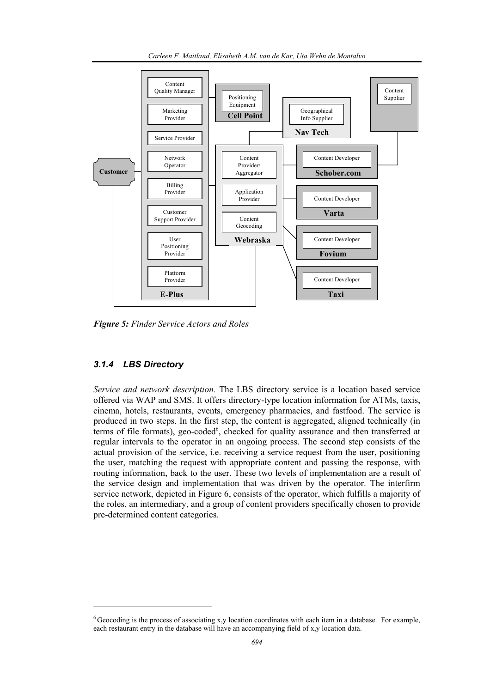

*Figure 5: Finder Service Actors and Roles* 

#### *3.1.4 LBS Directory*

l

*Service and network description.* The LBS directory service is a location based service offered via WAP and SMS. It offers directory-type location information for ATMs, taxis, cinema, hotels, restaurants, events, emergency pharmacies, and fastfood. The service is produced in two steps. In the first step, the content is aggregated, aligned technically (in terms of file formats), geo-coded<sup>6</sup>, checked for quality assurance and then transferred at regular intervals to the operator in an ongoing process. The second step consists of the actual provision of the service, i.e. receiving a service request from the user, positioning the user, matching the request with appropriate content and passing the response, with routing information, back to the user. These two levels of implementation are a result of the service design and implementation that was driven by the operator. The interfirm service network, depicted in Figure 6, consists of the operator, which fulfills a majority of the roles, an intermediary, and a group of content providers specifically chosen to provide pre-determined content categories.

<sup>6</sup> Geocoding is the process of associating x,y location coordinates with each item in a database. For example, each restaurant entry in the database will have an accompanying field of x,y location data.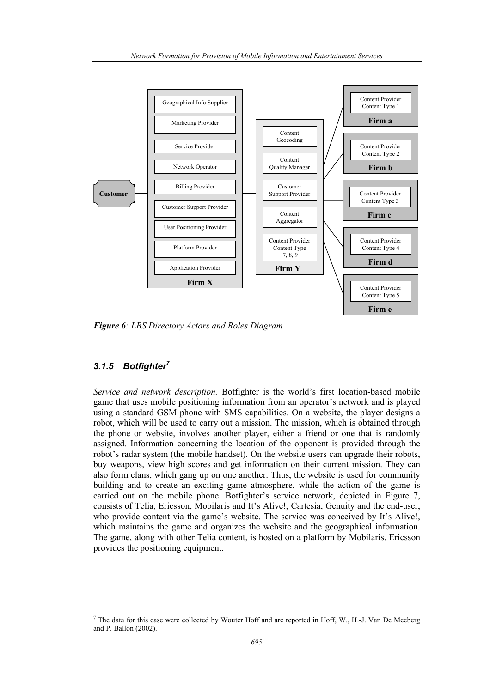

*Figure 6: LBS Directory Actors and Roles Diagram* 

## *3.1.5 Botfighter7*

l

*Service and network description.* Botfighter is the world's first location-based mobile game that uses mobile positioning information from an operator's network and is played using a standard GSM phone with SMS capabilities. On a website, the player designs a robot, which will be used to carry out a mission. The mission, which is obtained through the phone or website, involves another player, either a friend or one that is randomly assigned. Information concerning the location of the opponent is provided through the robot's radar system (the mobile handset). On the website users can upgrade their robots, buy weapons, view high scores and get information on their current mission. They can also form clans, which gang up on one another. Thus, the website is used for community building and to create an exciting game atmosphere, while the action of the game is carried out on the mobile phone. Botfighter's service network, depicted in Figure 7, consists of Telia, Ericsson, Mobilaris and It's Alive!, Cartesia, Genuity and the end-user, who provide content via the game's website. The service was conceived by It's Alive!, which maintains the game and organizes the website and the geographical information. The game, along with other Telia content, is hosted on a platform by Mobilaris. Ericsson provides the positioning equipment.

 $<sup>7</sup>$  The data for this case were collected by Wouter Hoff and are reported in Hoff, W., H.-J. Van De Meeberg</sup> and P. Ballon (2002).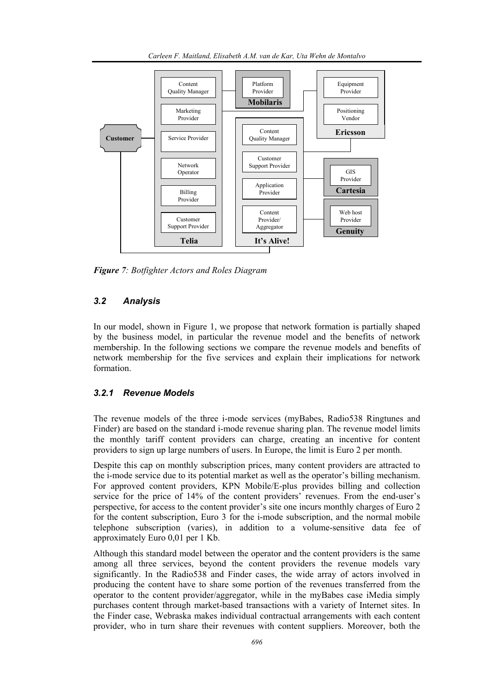

*Figure 7: Botfighter Actors and Roles Diagram* 

#### *3.2 Analysis*

In our model, shown in Figure 1, we propose that network formation is partially shaped by the business model, in particular the revenue model and the benefits of network membership. In the following sections we compare the revenue models and benefits of network membership for the five services and explain their implications for network formation.

#### *3.2.1 Revenue Models*

The revenue models of the three i-mode services (myBabes, Radio538 Ringtunes and Finder) are based on the standard i-mode revenue sharing plan. The revenue model limits the monthly tariff content providers can charge, creating an incentive for content providers to sign up large numbers of users. In Europe, the limit is Euro 2 per month.

Despite this cap on monthly subscription prices, many content providers are attracted to the i-mode service due to its potential market as well as the operator's billing mechanism. For approved content providers, KPN Mobile/E-plus provides billing and collection service for the price of 14% of the content providers' revenues. From the end-user's perspective, for access to the content provider's site one incurs monthly charges of Euro 2 for the content subscription, Euro 3 for the i-mode subscription, and the normal mobile telephone subscription (varies), in addition to a volume-sensitive data fee of approximately Euro 0,01 per 1 Kb.

Although this standard model between the operator and the content providers is the same among all three services, beyond the content providers the revenue models vary significantly. In the Radio538 and Finder cases, the wide array of actors involved in producing the content have to share some portion of the revenues transferred from the operator to the content provider/aggregator, while in the myBabes case iMedia simply purchases content through market-based transactions with a variety of Internet sites. In the Finder case, Webraska makes individual contractual arrangements with each content provider, who in turn share their revenues with content suppliers. Moreover, both the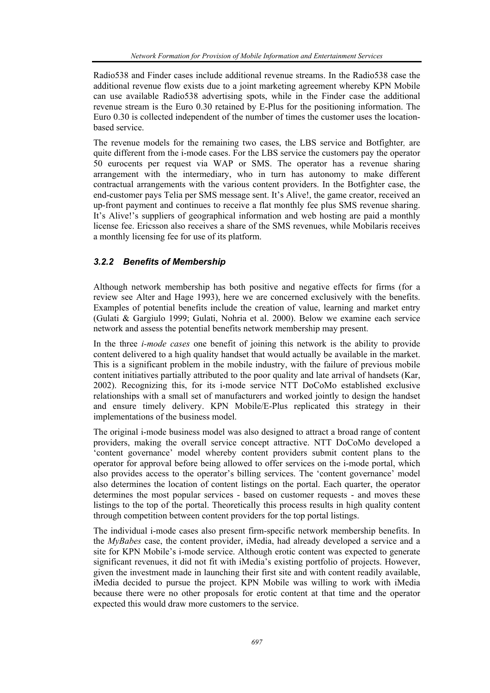Radio538 and Finder cases include additional revenue streams. In the Radio538 case the additional revenue flow exists due to a joint marketing agreement whereby KPN Mobile can use available Radio538 advertising spots, while in the Finder case the additional revenue stream is the Euro 0.30 retained by E-Plus for the positioning information. The Euro 0.30 is collected independent of the number of times the customer uses the locationbased service.

The revenue models for the remaining two cases, the LBS service and Botfighter*,* are quite different from the i-mode cases. For the LBS service the customers pay the operator 50 eurocents per request via WAP or SMS. The operator has a revenue sharing arrangement with the intermediary, who in turn has autonomy to make different contractual arrangements with the various content providers. In the Botfighter case, the end-customer pays Telia per SMS message sent. It's Alive!, the game creator, received an up-front payment and continues to receive a flat monthly fee plus SMS revenue sharing. It's Alive!'s suppliers of geographical information and web hosting are paid a monthly license fee. Ericsson also receives a share of the SMS revenues, while Mobilaris receives a monthly licensing fee for use of its platform.

# *3.2.2 Benefits of Membership*

Although network membership has both positive and negative effects for firms (for a review see Alter and Hage 1993), here we are concerned exclusively with the benefits. Examples of potential benefits include the creation of value, learning and market entry (Gulati & Gargiulo 1999; Gulati, Nohria et al. 2000). Below we examine each service network and assess the potential benefits network membership may present.

In the three *i-mode cases* one benefit of joining this network is the ability to provide content delivered to a high quality handset that would actually be available in the market. This is a significant problem in the mobile industry, with the failure of previous mobile content initiatives partially attributed to the poor quality and late arrival of handsets (Kar, 2002). Recognizing this, for its i-mode service NTT DoCoMo established exclusive relationships with a small set of manufacturers and worked jointly to design the handset and ensure timely delivery. KPN Mobile/E-Plus replicated this strategy in their implementations of the business model.

The original i-mode business model was also designed to attract a broad range of content providers, making the overall service concept attractive. NTT DoCoMo developed a 'content governance' model whereby content providers submit content plans to the operator for approval before being allowed to offer services on the i-mode portal, which also provides access to the operator's billing services. The 'content governance' model also determines the location of content listings on the portal. Each quarter, the operator determines the most popular services - based on customer requests - and moves these listings to the top of the portal. Theoretically this process results in high quality content through competition between content providers for the top portal listings.

The individual i-mode cases also present firm-specific network membership benefits. In the *MyBabes* case, the content provider, iMedia, had already developed a service and a site for KPN Mobile's i-mode service. Although erotic content was expected to generate significant revenues, it did not fit with iMedia's existing portfolio of projects. However, given the investment made in launching their first site and with content readily available, iMedia decided to pursue the project. KPN Mobile was willing to work with iMedia because there were no other proposals for erotic content at that time and the operator expected this would draw more customers to the service.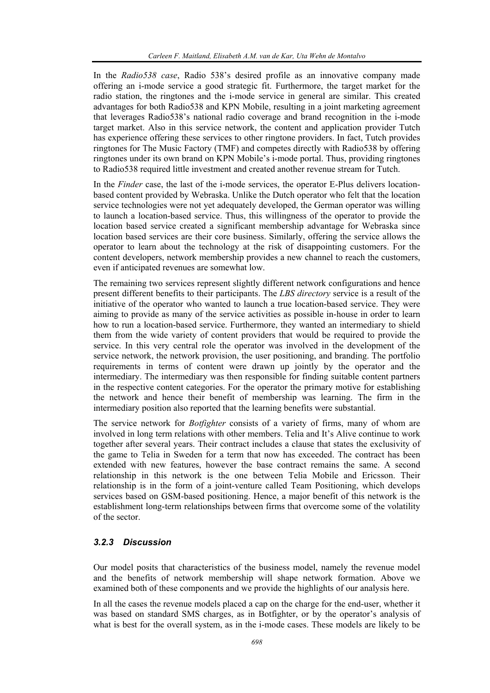In the *Radio538 case*, Radio 538's desired profile as an innovative company made offering an i-mode service a good strategic fit. Furthermore, the target market for the radio station, the ringtones and the i-mode service in general are similar. This created advantages for both Radio538 and KPN Mobile, resulting in a joint marketing agreement that leverages Radio538's national radio coverage and brand recognition in the i-mode target market. Also in this service network, the content and application provider Tutch has experience offering these services to other ringtone providers. In fact, Tutch provides ringtones for The Music Factory (TMF) and competes directly with Radio538 by offering ringtones under its own brand on KPN Mobile's i-mode portal. Thus, providing ringtones to Radio538 required little investment and created another revenue stream for Tutch.

In the *Finder* case, the last of the i-mode services, the operator E-Plus delivers locationbased content provided by Webraska. Unlike the Dutch operator who felt that the location service technologies were not yet adequately developed, the German operator was willing to launch a location-based service. Thus, this willingness of the operator to provide the location based service created a significant membership advantage for Webraska since location based services are their core business. Similarly, offering the service allows the operator to learn about the technology at the risk of disappointing customers. For the content developers, network membership provides a new channel to reach the customers, even if anticipated revenues are somewhat low.

The remaining two services represent slightly different network configurations and hence present different benefits to their participants. The *LBS directory* service is a result of the initiative of the operator who wanted to launch a true location-based service. They were aiming to provide as many of the service activities as possible in-house in order to learn how to run a location-based service. Furthermore, they wanted an intermediary to shield them from the wide variety of content providers that would be required to provide the service. In this very central role the operator was involved in the development of the service network, the network provision, the user positioning, and branding. The portfolio requirements in terms of content were drawn up jointly by the operator and the intermediary. The intermediary was then responsible for finding suitable content partners in the respective content categories. For the operator the primary motive for establishing the network and hence their benefit of membership was learning. The firm in the intermediary position also reported that the learning benefits were substantial.

The service network for *Botfighter* consists of a variety of firms, many of whom are involved in long term relations with other members. Telia and It's Alive continue to work together after several years. Their contract includes a clause that states the exclusivity of the game to Telia in Sweden for a term that now has exceeded. The contract has been extended with new features, however the base contract remains the same. A second relationship in this network is the one between Telia Mobile and Ericsson. Their relationship is in the form of a joint-venture called Team Positioning, which develops services based on GSM-based positioning. Hence, a major benefit of this network is the establishment long-term relationships between firms that overcome some of the volatility of the sector.

#### *3.2.3 Discussion*

Our model posits that characteristics of the business model, namely the revenue model and the benefits of network membership will shape network formation. Above we examined both of these components and we provide the highlights of our analysis here.

In all the cases the revenue models placed a cap on the charge for the end-user, whether it was based on standard SMS charges, as in Botfighter, or by the operator's analysis of what is best for the overall system, as in the i-mode cases. These models are likely to be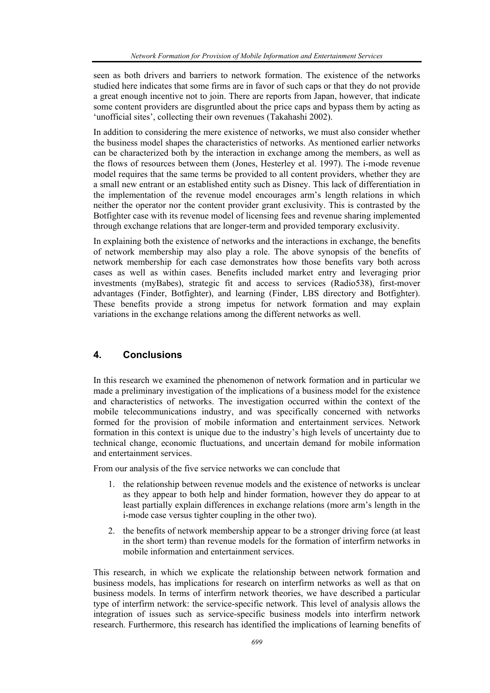seen as both drivers and barriers to network formation. The existence of the networks studied here indicates that some firms are in favor of such caps or that they do not provide a great enough incentive not to join. There are reports from Japan, however, that indicate some content providers are disgruntled about the price caps and bypass them by acting as 'unofficial sites', collecting their own revenues (Takahashi 2002).

In addition to considering the mere existence of networks, we must also consider whether the business model shapes the characteristics of networks. As mentioned earlier networks can be characterized both by the interaction in exchange among the members, as well as the flows of resources between them (Jones, Hesterley et al. 1997). The i-mode revenue model requires that the same terms be provided to all content providers, whether they are a small new entrant or an established entity such as Disney. This lack of differentiation in the implementation of the revenue model encourages arm's length relations in which neither the operator nor the content provider grant exclusivity. This is contrasted by the Botfighter case with its revenue model of licensing fees and revenue sharing implemented through exchange relations that are longer-term and provided temporary exclusivity.

In explaining both the existence of networks and the interactions in exchange, the benefits of network membership may also play a role. The above synopsis of the benefits of network membership for each case demonstrates how those benefits vary both across cases as well as within cases. Benefits included market entry and leveraging prior investments (myBabes), strategic fit and access to services (Radio538), first-mover advantages (Finder, Botfighter), and learning (Finder, LBS directory and Botfighter). These benefits provide a strong impetus for network formation and may explain variations in the exchange relations among the different networks as well.

## **4. Conclusions**

In this research we examined the phenomenon of network formation and in particular we made a preliminary investigation of the implications of a business model for the existence and characteristics of networks. The investigation occurred within the context of the mobile telecommunications industry, and was specifically concerned with networks formed for the provision of mobile information and entertainment services. Network formation in this context is unique due to the industry's high levels of uncertainty due to technical change, economic fluctuations, and uncertain demand for mobile information and entertainment services.

From our analysis of the five service networks we can conclude that

- 1. the relationship between revenue models and the existence of networks is unclear as they appear to both help and hinder formation, however they do appear to at least partially explain differences in exchange relations (more arm's length in the i-mode case versus tighter coupling in the other two).
- 2. the benefits of network membership appear to be a stronger driving force (at least in the short term) than revenue models for the formation of interfirm networks in mobile information and entertainment services.

This research, in which we explicate the relationship between network formation and business models, has implications for research on interfirm networks as well as that on business models. In terms of interfirm network theories, we have described a particular type of interfirm network: the service-specific network. This level of analysis allows the integration of issues such as service-specific business models into interfirm network research. Furthermore, this research has identified the implications of learning benefits of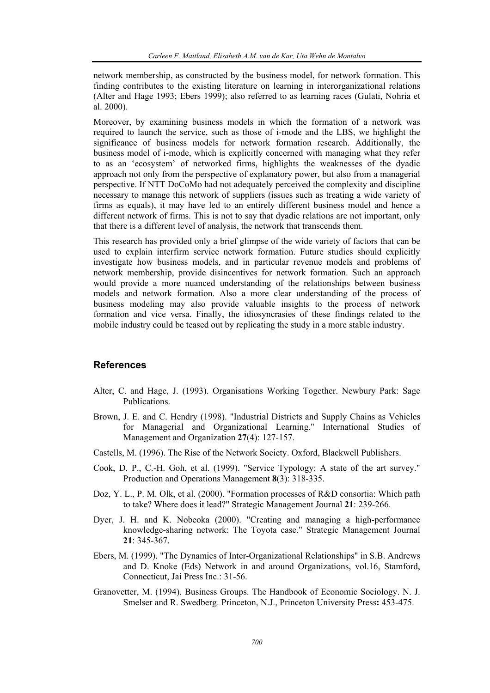network membership, as constructed by the business model, for network formation. This finding contributes to the existing literature on learning in interorganizational relations (Alter and Hage 1993; Ebers 1999); also referred to as learning races (Gulati, Nohria et al. 2000).

Moreover, by examining business models in which the formation of a network was required to launch the service, such as those of i-mode and the LBS, we highlight the significance of business models for network formation research. Additionally, the business model of i-mode, which is explicitly concerned with managing what they refer to as an 'ecosystem' of networked firms, highlights the weaknesses of the dyadic approach not only from the perspective of explanatory power, but also from a managerial perspective. If NTT DoCoMo had not adequately perceived the complexity and discipline necessary to manage this network of suppliers (issues such as treating a wide variety of firms as equals), it may have led to an entirely different business model and hence a different network of firms. This is not to say that dyadic relations are not important, only that there is a different level of analysis, the network that transcends them.

This research has provided only a brief glimpse of the wide variety of factors that can be used to explain interfirm service network formation. Future studies should explicitly investigate how business models, and in particular revenue models and problems of network membership, provide disincentives for network formation. Such an approach would provide a more nuanced understanding of the relationships between business models and network formation. Also a more clear understanding of the process of business modeling may also provide valuable insights to the process of network formation and vice versa. Finally, the idiosyncrasies of these findings related to the mobile industry could be teased out by replicating the study in a more stable industry.

### **References**

- Alter, C. and Hage, J. (1993). Organisations Working Together. Newbury Park: Sage Publications.
- Brown, J. E. and C. Hendry (1998). "Industrial Districts and Supply Chains as Vehicles for Managerial and Organizational Learning." International Studies of Management and Organization **27**(4): 127-157.
- Castells, M. (1996). The Rise of the Network Society. Oxford, Blackwell Publishers.
- Cook, D. P., C.-H. Goh, et al. (1999). "Service Typology: A state of the art survey." Production and Operations Management **8**(3): 318-335.
- Doz, Y. L., P. M. Olk, et al. (2000). "Formation processes of R&D consortia: Which path to take? Where does it lead?" Strategic Management Journal **21**: 239-266.
- Dyer, J. H. and K. Nobeoka (2000). "Creating and managing a high-performance knowledge-sharing network: The Toyota case." Strategic Management Journal **21**: 345-367.
- Ebers, M. (1999). "The Dynamics of Inter-Organizational Relationships" in S.B. Andrews and D. Knoke (Eds) Network in and around Organizations, vol.16, Stamford, Connecticut, Jai Press Inc.: 31-56.
- Granovetter, M. (1994). Business Groups. The Handbook of Economic Sociology. N. J. Smelser and R. Swedberg. Princeton, N.J., Princeton University Press**:** 453-475.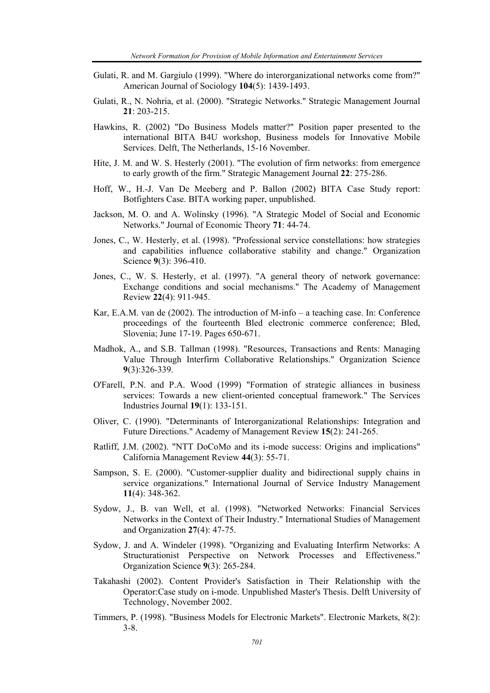- Gulati, R. and M. Gargiulo (1999). "Where do interorganizational networks come from?" American Journal of Sociology **104**(5): 1439-1493.
- Gulati, R., N. Nohria, et al. (2000). "Strategic Networks." Strategic Management Journal **21**: 203-215.
- Hawkins, R. (2002) "Do Business Models matter?" Position paper presented to the international BITA B4U workshop, Business models for Innovative Mobile Services. Delft, The Netherlands, 15-16 November.
- Hite, J. M. and W. S. Hesterly (2001). "The evolution of firm networks: from emergence to early growth of the firm." Strategic Management Journal **22**: 275-286.
- Hoff, W., H.-J. Van De Meeberg and P. Ballon (2002) BITA Case Study report: Botfighters Case. BITA working paper, unpublished.
- Jackson, M. O. and A. Wolinsky (1996). "A Strategic Model of Social and Economic Networks." Journal of Economic Theory **71**: 44-74.
- Jones, C., W. Hesterly, et al. (1998). "Professional service constellations: how strategies and capabilities influence collaborative stability and change." Organization Science **9**(3): 396-410.
- Jones, C., W. S. Hesterly, et al. (1997). "A general theory of network governance: Exchange conditions and social mechanisms." The Academy of Management Review **22**(4): 911-945.
- Kar, E.A.M. van de (2002). The introduction of M-info a teaching case. In: Conference proceedings of the fourteenth Bled electronic commerce conference; Bled, Slovenia; June 17-19. Pages 650-671.
- Madhok, A., and S.B. Tallman (1998). "Resources, Transactions and Rents: Managing Value Through Interfirm Collaborative Relationships." Organization Science **9**(3):326-339.
- O'Farell, P.N. and P.A. Wood (1999) "Formation of strategic alliances in business services: Towards a new client-oriented conceptual framework." The Services Industries Journal **19**(1): 133-151.
- Oliver, C. (1990). "Determinants of Interorganizational Relationships: Integration and Future Directions." Academy of Management Review **15**(2): 241-265.
- Ratliff, J.M. (2002). "NTT DoCoMo and its i-mode success: Origins and implications" California Management Review **44**(3): 55-71.
- Sampson, S. E. (2000). "Customer-supplier duality and bidirectional supply chains in service organizations." International Journal of Service Industry Management **11**(4): 348-362.
- Sydow, J., B. van Well, et al. (1998). "Networked Networks: Financial Services Networks in the Context of Their Industry." International Studies of Management and Organization **27**(4): 47-75.
- Sydow, J. and A. Windeler (1998). "Organizing and Evaluating Interfirm Networks: A Structurationist Perspective on Network Processes and Effectiveness." Organization Science **9**(3): 265-284.
- Takahashi (2002). Content Provider's Satisfaction in Their Relationship with the Operator:Case study on i-mode. Unpublished Master's Thesis. Delft University of Technology, November 2002.
- Timmers, P. (1998). "Business Models for Electronic Markets". Electronic Markets, 8(2): 3-8.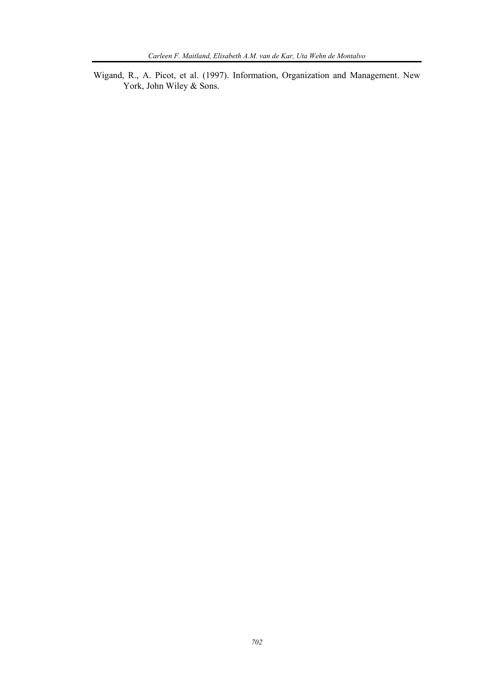Wigand, R., A. Picot, et al. (1997). Information, Organization and Management. New York, John Wiley & Sons.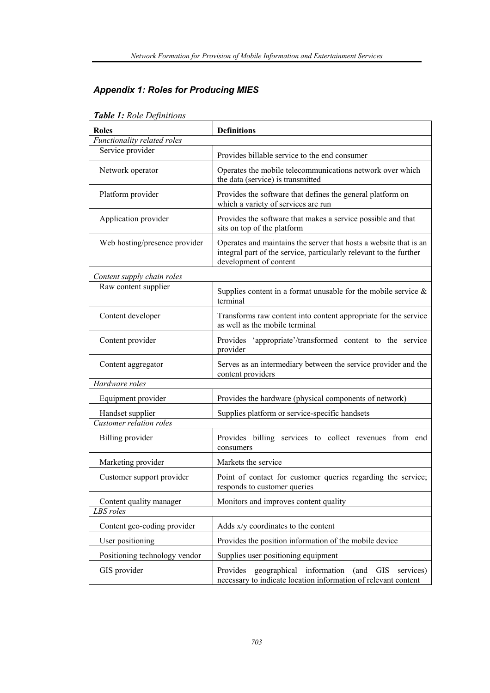# *Appendix 1: Roles for Producing MIES*

| <b>Tuble 1.</b> Role Definitions |                                                                                                                                                                   |  |  |  |  |  |  |
|----------------------------------|-------------------------------------------------------------------------------------------------------------------------------------------------------------------|--|--|--|--|--|--|
| <b>Roles</b>                     | <b>Definitions</b>                                                                                                                                                |  |  |  |  |  |  |
| Functionality related roles      |                                                                                                                                                                   |  |  |  |  |  |  |
| Service provider                 | Provides billable service to the end consumer                                                                                                                     |  |  |  |  |  |  |
| Network operator                 | Operates the mobile telecommunications network over which<br>the data (service) is transmitted                                                                    |  |  |  |  |  |  |
| Platform provider                | Provides the software that defines the general platform on<br>which a variety of services are run                                                                 |  |  |  |  |  |  |
| Application provider             | Provides the software that makes a service possible and that<br>sits on top of the platform                                                                       |  |  |  |  |  |  |
| Web hosting/presence provider    | Operates and maintains the server that hosts a website that is an<br>integral part of the service, particularly relevant to the further<br>development of content |  |  |  |  |  |  |
| Content supply chain roles       |                                                                                                                                                                   |  |  |  |  |  |  |
| Raw content supplier             | Supplies content in a format unusable for the mobile service $\&$<br>terminal                                                                                     |  |  |  |  |  |  |
| Content developer                | Transforms raw content into content appropriate for the service<br>as well as the mobile terminal                                                                 |  |  |  |  |  |  |
| Content provider                 | 'appropriate'/transformed content to the service<br>Provides<br>provider                                                                                          |  |  |  |  |  |  |
| Content aggregator               | Serves as an intermediary between the service provider and the<br>content providers                                                                               |  |  |  |  |  |  |
| Hardware roles                   |                                                                                                                                                                   |  |  |  |  |  |  |
| Equipment provider               | Provides the hardware (physical components of network)                                                                                                            |  |  |  |  |  |  |
| Handset supplier                 | Supplies platform or service-specific handsets                                                                                                                    |  |  |  |  |  |  |
| Customer relation roles          |                                                                                                                                                                   |  |  |  |  |  |  |
| Billing provider                 | Provides billing services to collect revenues from end<br>consumers                                                                                               |  |  |  |  |  |  |
| Marketing provider               | Markets the service                                                                                                                                               |  |  |  |  |  |  |
| Customer support provider        | Point of contact for customer queries regarding the service;<br>responds to customer queries                                                                      |  |  |  |  |  |  |
| Content quality manager          | Monitors and improves content quality                                                                                                                             |  |  |  |  |  |  |
| LBS roles                        |                                                                                                                                                                   |  |  |  |  |  |  |
| Content geo-coding provider      | Adds x/y coordinates to the content                                                                                                                               |  |  |  |  |  |  |
| User positioning                 | Provides the position information of the mobile device                                                                                                            |  |  |  |  |  |  |
| Positioning technology vendor    | Supplies user positioning equipment                                                                                                                               |  |  |  |  |  |  |
| GIS provider                     | Provides<br>geographical information<br>(and<br><b>GIS</b><br>services)<br>necessary to indicate location information of relevant content                         |  |  |  |  |  |  |

# *Table 1: Role Definitions*